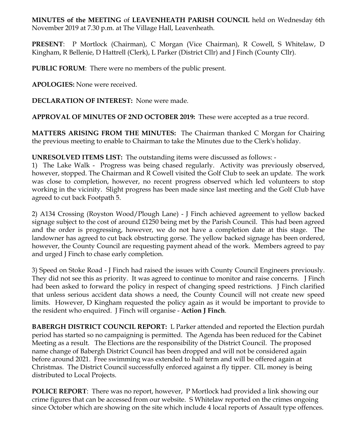**MINUTES of the MEETING** of **LEAVENHEATH PARISH COUNCIL** held on Wednesday 6th November 2019 at 7.30 p.m. at The Village Hall, Leavenheath.

**PRESENT**: P Mortlock (Chairman), C Morgan (Vice Chairman), R Cowell, S Whitelaw, D Kingham, R Bellenie, D Hattrell (Clerk), L Parker (District Cllr) and J Finch (County Cllr).

**PUBLIC FORUM**: There were no members of the public present.

**APOLOGIES:** None were received.

**DECLARATION OF INTEREST:** None were made.

**APPROVAL OF MINUTES OF 2ND OCTOBER 2019:** These were accepted as a true record.

**MATTERS ARISING FROM THE MINUTES:** The Chairman thanked C Morgan for Chairing the previous meeting to enable to Chairman to take the Minutes due to the Clerk's holiday.

**UNRESOLVED ITEMS LIST:** The outstanding items were discussed as follows: -

1) The Lake Walk - Progress was being chased regularly. Activity was previously observed, however, stopped. The Chairman and R Cowell visited the Golf Club to seek an update. The work was close to completion, however, no recent progress observed which led volunteers to stop working in the vicinity. Slight progress has been made since last meeting and the Golf Club have agreed to cut back Footpath 5.

2) A134 Crossing (Royston Wood/Plough Lane) - J Finch achieved agreement to yellow backed signage subject to the cost of around £1250 being met by the Parish Council. This had been agreed and the order is progressing, however, we do not have a completion date at this stage. The landowner has agreed to cut back obstructing gorse. The yellow backed signage has been ordered, however, the County Council are requesting payment ahead of the work. Members agreed to pay and urged J Finch to chase early completion.

3) Speed on Stoke Road - J Finch had raised the issues with County Council Engineers previously. They did not see this as priority. It was agreed to continue to monitor and raise concerns. J Finch had been asked to forward the policy in respect of changing speed restrictions. J Finch clarified that unless serious accident data shows a need, the County Council will not create new speed limits. However, D Kingham requested the policy again as it would be important to provide to the resident who enquired. J Finch will organise - **Action J Finch**.

**BABERGH DISTRICT COUNCIL REPORT:** L Parker attended and reported the Election purdah period has started so no campaigning is permitted. The Agenda has been reduced for the Cabinet Meeting as a result. The Elections are the responsibility of the District Council. The proposed name change of Babergh District Council has been dropped and will not be considered again before around 2021. Free swimming was extended to half term and will be offered again at Christmas. The District Council successfully enforced against a fly tipper. CIL money is being distributed to Local Projects.

**POLICE REPORT**: There was no report, however, P Mortlock had provided a link showing our crime figures that can be accessed from our website. S Whitelaw reported on the crimes ongoing since October which are showing on the site which include 4 local reports of Assault type offences.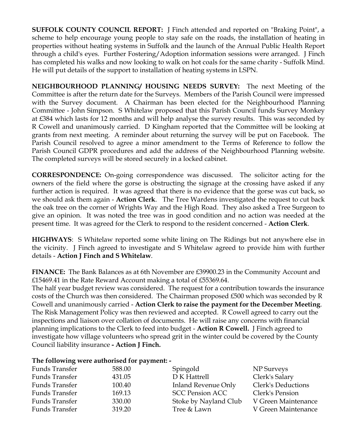**SUFFOLK COUNTY COUNCIL REPORT:** J Finch attended and reported on "Braking Point", a scheme to help encourage young people to stay safe on the roads, the installation of heating in properties without heating systems in Suffolk and the launch of the Annual Public Health Report through a child's eyes. Further Fostering/Adoption information sessions were arranged. J Finch has completed his walks and now looking to walk on hot coals for the same charity - Suffolk Mind. He will put details of the support to installation of heating systems in LSPN.

**NEIGHBOURHOOD PLANNING/ HOUSING NEEDS SURVEY:** The next Meeting of the Committee is after the return date for the Surveys. Members of the Parish Council were impressed with the Survey document. A Chairman has been elected for the Neighbourhood Planning Committee - John Simpson. S Whitelaw proposed that this Parish Council funds Survey Monkey at £384 which lasts for 12 months and will help analyse the survey results. This was seconded by R Cowell and unanimously carried. D Kingham reported that the Committee will be looking at grants from next meeting. A reminder about returning the survey will be put on Facebook. The Parish Council resolved to agree a minor amendment to the Terms of Reference to follow the Parish Council GDPR procedures and add the address of the Neighbourhood Planning website. The completed surveys will be stored securely in a locked cabinet.

**CORRESPONDENCE:** On-going correspondence was discussed. The solicitor acting for the owners of the field where the gorse is obstructing the signage at the crossing have asked if any further action is required. It was agreed that there is no evidence that the gorse was cut back, so we should ask them again - **Action Clerk**. The Tree Wardens investigated the request to cut back the oak tree on the corner of Wrights Way and the High Road. They also asked a Tree Surgeon to give an opinion. It was noted the tree was in good condition and no action was needed at the present time. It was agreed for the Clerk to respond to the resident concerned - **Action Clerk**.

**HIGHWAYS**: S Whitelaw reported some white lining on The Ridings but not anywhere else in the vicinity. J Finch agreed to investigate and S Whitelaw agreed to provide him with further details - **Action J Finch and S Whitelaw**.

**FINANCE:** The Bank Balances as at 6th November are £39900.23 in the Community Account and £15469.41 in the Rate Reward Account making a total of £55369.64.

The half year budget review was considered. The request for a contribution towards the insurance costs of the Church was then considered. The Chairman proposed £500 which was seconded by R Cowell and unanimously carried - **Action Clerk to raise the payment for the December Meeting**. The Risk Management Policy was then reviewed and accepted. R Cowell agreed to carry out the inspections and liaison over collation of documents. He will raise any concerns with financial planning implications to the Clerk to feed into budget - **Action R Cowell.** J Finch agreed to investigate how village volunteers who spread grit in the winter could be covered by the County Council liability insurance **- Action J Finch.** 

## **The following were authorised for payment: -**

| Funds Transfer        | 588.00 | Spingold               | NP Surveys          |
|-----------------------|--------|------------------------|---------------------|
| <b>Funds Transfer</b> | 431.05 | D K Hattrell           | Clerk's Salary      |
| Funds Transfer        | 100.40 | Inland Revenue Only    | Clerk's Deductions  |
| Funds Transfer        | 169.13 | <b>SCC Pension ACC</b> | Clerk's Pension     |
| Funds Transfer        | 330.00 | Stoke by Nayland Club  | V Green Maintenance |
| Funds Transfer        | 319.20 | Tree & Lawn            | V Green Maintenance |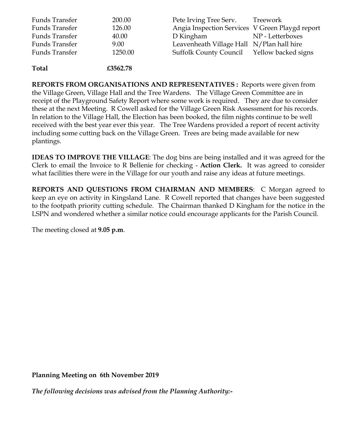| <b>Funds Transfer</b> | 200.00  | Pete Irving Tree Serv.                          | Treework         |
|-----------------------|---------|-------------------------------------------------|------------------|
| <b>Funds Transfer</b> | 126.00  | Angia Inspection Services V Green Playgd report |                  |
| Funds Transfer        | 40.00   | D Kingham                                       | NP - Letterboxes |
| <b>Funds Transfer</b> | 9.00    | Leavenheath Village Hall N/Plan hall hire       |                  |
| Funds Transfer        | 1250.00 | Suffolk County Council Yellow backed signs      |                  |
|                       |         |                                                 |                  |

**Total £3562.78**

**REPORTS FROM ORGANISATIONS AND REPRESENTATIVES :** Reports were given from the Village Green, Village Hall and the Tree Wardens. The Village Green Committee are in receipt of the Playground Safety Report where some work is required. They are due to consider these at the next Meeting. R Cowell asked for the Village Green Risk Assessment for his records. In relation to the Village Hall, the Election has been booked, the film nights continue to be well received with the best year ever this year. The Tree Wardens provided a report of recent activity including some cutting back on the Village Green. Trees are being made available for new plantings.

**IDEAS TO IMPROVE THE VILLAGE**: The dog bins are being installed and it was agreed for the Clerk to email the Invoice to R Bellenie for checking - **Action Clerk.** It was agreed to consider what facilities there were in the Village for our youth and raise any ideas at future meetings.

**REPORTS AND QUESTIONS FROM CHAIRMAN AND MEMBERS**: C Morgan agreed to keep an eye on activity in Kingsland Lane. R Cowell reported that changes have been suggested to the footpath priority cutting schedule. The Chairman thanked D Kingham for the notice in the LSPN and wondered whether a similar notice could encourage applicants for the Parish Council.

The meeting closed at **9.05 p.m**.

**Planning Meeting on 6th November 2019**

*The following decisions was advised from the Planning Authority:-*